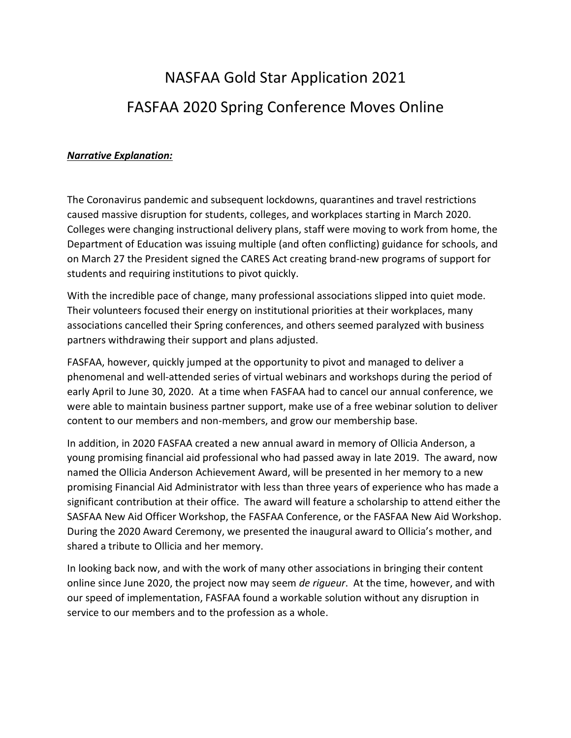## NASFAA Gold Star Application 2021 FASFAA 2020 Spring Conference Moves Online

## *Narrative Explanation:*

The Coronavirus pandemic and subsequent lockdowns, quarantines and travel restrictions caused massive disruption for students, colleges, and workplaces starting in March 2020. Colleges were changing instructional delivery plans, staff were moving to work from home, the Department of Education was issuing multiple (and often conflicting) guidance for schools, and on March 27 the President signed the CARES Act creating brand-new programs of support for students and requiring institutions to pivot quickly.

With the incredible pace of change, many professional associations slipped into quiet mode. Their volunteers focused their energy on institutional priorities at their workplaces, many associations cancelled their Spring conferences, and others seemed paralyzed with business partners withdrawing their support and plans adjusted.

FASFAA, however, quickly jumped at the opportunity to pivot and managed to deliver a phenomenal and well-attended series of virtual webinars and workshops during the period of early April to June 30, 2020. At a time when FASFAA had to cancel our annual conference, we were able to maintain business partner support, make use of a free webinar solution to deliver content to our members and non-members, and grow our membership base.

In addition, in 2020 FASFAA created a new annual award in memory of Ollicia Anderson, a young promising financial aid professional who had passed away in late 2019. The award, now named the Ollicia Anderson Achievement Award, will be presented in her memory to a new promising Financial Aid Administrator with less than three years of experience who has made a significant contribution at their office. The award will feature a scholarship to attend either the SASFAA New Aid Officer Workshop, the FASFAA Conference, or the FASFAA New Aid Workshop. During the 2020 Award Ceremony, we presented the inaugural award to Ollicia's mother, and shared a tribute to Ollicia and her memory.

In looking back now, and with the work of many other associations in bringing their content online since June 2020, the project now may seem *de rigueur*. At the time, however, and with our speed of implementation, FASFAA found a workable solution without any disruption in service to our members and to the profession as a whole.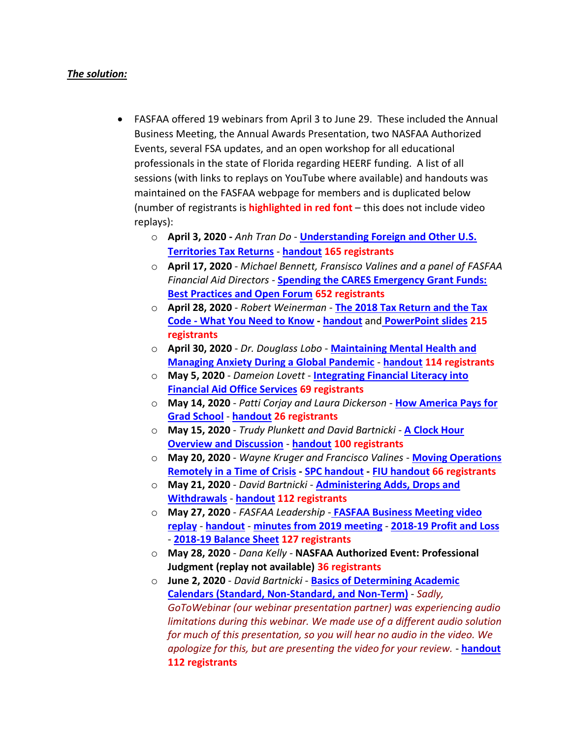## *The solution:*

- FASFAA offered 19 webinars from April 3 to June 29. These included the Annual Business Meeting, the Annual Awards Presentation, two NASFAA Authorized Events, several FSA updates, and an open workshop for all educational professionals in the state of Florida regarding HEERF funding. A list of all sessions (with links to replays on YouTube where available) and handouts was maintained on the FASFAA webpage for members and is duplicated below (number of registrants is **highlighted in red font** – this does not include video replays):
	- o **April 3, 2020 -** *Anh Tran Do* **[Understanding Foreign and Other U.S.](https://youtu.be/w7VZQP2HIwI)  [Territories Tax Returns](https://youtu.be/w7VZQP2HIwI)** - **[handout](https://www.fasfaa.org/assets/Annual_Conference/2020/Foreign%20Tax%20-%20FASFAA%20Spring%20Webinar%2004.03.2020%20-%20Updated%20Secure%20Handout.pdf) 165 registrants**
	- o **April 17, 2020** *Michael Bennett, Fransisco Valines and a panel of FASFAA Financial Aid Directors -* **[Spending the CARES Emergency Grant Funds:](https://youtu.be/GVr3nsOfJV8)  [Best Practices and Open Forum](https://youtu.be/GVr3nsOfJV8) 652 registrants**
	- o **April 28, 2020**  *Robert Weinerman*  **[The 2018 Tax Return and the Tax](https://www.youtube.com/watch?v=z6GamvGx_Ag)  Code - [What You Need to Know](https://www.youtube.com/watch?v=z6GamvGx_Ag) - [handout](https://www.fasfaa.org/assets/Annual_Conference/2020/IBR%20-%20FASFAA%20-%20Intro%20to%202018%20Tax%20Forms.pdf)** and **[PowerPoint slides](https://www.fasfaa.org/assets/Annual_Conference/2020/IBR%20-%20FASFAA%202018%20Tax%20Forms%20Slides.pdf) 215 registrants**
	- o **April 30, 2020** *Dr. Douglass Lobo* **[Maintaining Mental Health and](https://youtu.be/cWPB76S42lE)  [Managing Anxiety During a Global Pandemic](https://youtu.be/cWPB76S42lE)** - **[handout](https://www.fasfaa.org/assets/Annual_Conference/2020/Maintaining%20Mental%20Health%20and%20Managing%20Anxiety%20During%20a%20Global%20Pandemic%20Presentation%20AFC%20FA%20Advisors%204-23-20.pdf) 114 registrants**
	- o **May 5, 2020** *Dameion Lovett*  **[Integrating Financial Literacy into](https://youtu.be/qU9vhHpMIhY)  [Financial Aid Office Services](https://youtu.be/qU9vhHpMIhY) 69 registrants**
	- o **May 14, 2020**  *Patti Corjay and Laura Dickerson* **[How America Pays for](https://youtu.be/zIo6NNaJBrQ)  [Grad School](https://youtu.be/zIo6NNaJBrQ)** - **[handout](https://www.fasfaa.org/assets/Annual_Conference/2020/How%20America%20Pays%20for%20GRAD%20revised.pdf) 26 registrants**
	- o **May 15, 2020** *Trudy Plunkett and David Bartnicki* **[A Clock Hour](https://youtu.be/NLnRs_I-mEI)  [Overview and Discussion](https://youtu.be/NLnRs_I-mEI)** - **[handout](https://www.fasfaa.org/assets/Annual_Conference/2020/Clock%20Hour%20Overview%20FASFAA%202020.pdf) 100 registrants**
	- o **May 20, 2020**  *Wayne Kruger and Francisco Valines* **[Moving Operations](https://youtu.be/cvRh61oBc_Y)  [Remotely in a Time of Crisis](https://youtu.be/cvRh61oBc_Y) - [SPC handout](https://www.fasfaa.org/assets/Annual_Conference/2020/SPC-going-remote-and-coming-back-again.pdf) - [FIU handout](https://www.fasfaa.org/assets/Annual_Conference/2020/FIU-Crisis-Response_V1.pdf) 66 registrants**
	- o **May 21, 2020** *David Bartnicki*  **[Administering Adds, Drops and](https://youtu.be/P-h7kjXQ5-A)  [Withdrawals](https://youtu.be/P-h7kjXQ5-A)** - **[handout](https://www.fasfaa.org/assets/Annual_Conference/2020/FASFAA%20Ann%20Conf%20-%20Add%20Drop%20withdrwls%20-%20Webinar%20-%20May%202020%20-%20HANDOUTS.pdf) 112 registrants**
	- o **May 27, 2020**  *FASFAA Leadership* **[FASFAA Business Meeting video](https://youtu.be/mxz804fKxgA)  [replay](https://youtu.be/mxz804fKxgA)** - **[handout](https://www.fasfaa.org/assets/Annual_Conference/2020/You%20helped%20FASFAA%20Open%20The%20Door%21%20-%20Business%20Meeting.pdf)** - **[minutes from 2019 meeting](https://www.fasfaa.org/assets/Meeting-Minutes/2019-20/Final%202019%20FASFAA%20Annual%20Business%20Meeting%20%281%29.pdf)** - **[2018-19 Profit and Loss](https://www.fasfaa.org/assets/Annual_Conference/2020/Profit%20and%20Loss%20Budget%20vs%20Actual%202018-2019.pdf)** - **[2018-19 Balance Sheet](https://www.fasfaa.org/assets/Annual_Conference/2020/Balance%20Sheet%20as%20of%2020190630.pdf) 127 registrants**
	- o **May 28, 2020** *- Dana Kelly -* **NASFAA Authorized Event: Professional Judgment (replay not available) 36 registrants**
	- o **June 2, 2020** *David Bartnicki* **[Basics of Determining Academic](https://youtu.be/9s2iLc47ZSk)  [Calendars \(Standard, Non-Standard, and Non-Term\)](https://youtu.be/9s2iLc47ZSk)** - *Sadly, GoToWebinar (our webinar presentation partner) was experiencing audio limitations during this webinar. We made use of a different audio solution for much of this presentation, so you will hear no audio in the video. We apologize for this, but are presenting the video for your review.* - **[handout](https://www.fasfaa.org/assets/Annual_Conference/2020/FASFAA%20Webinar%20-%20Basics%20of%20determining%20academic%20calendars%20-%20June%202020%20-%20HANDOUTS.pdf) 112 registrants**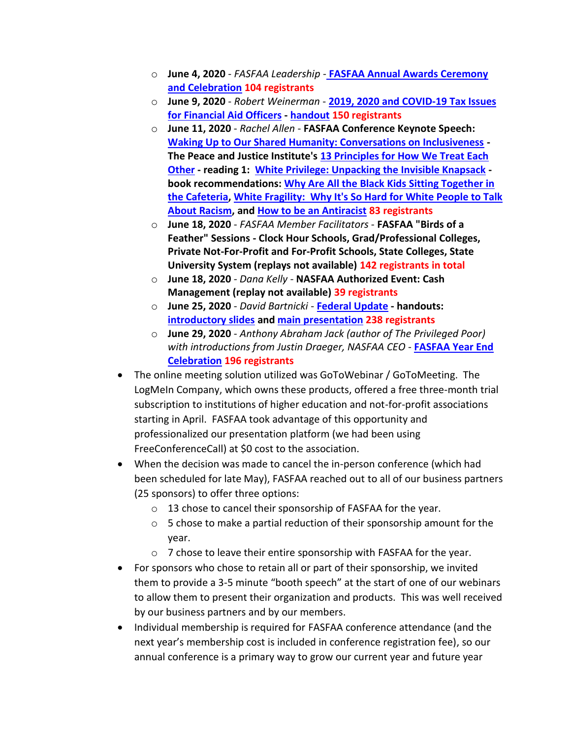- o **June 4, 2020**  *FASFAA Leadership* **[FASFAA Annual Awards Ceremony](https://youtu.be/AMBEAqBh7wY)  [and Celebration](https://youtu.be/AMBEAqBh7wY) 104 registrants**
- o **June 9, 2020**  *Robert Weinerman* **[2019, 2020 and COVID-19 Tax Issues](https://youtu.be/3hwWOUOXwRM)  [for Financial Aid Officers](https://youtu.be/3hwWOUOXwRM) - [handout](https://www.fasfaa.org/assets/Annual_Conference/2020/IBR%20-%20FASFAA%20Webinar%202%20-%20COVID-19%2C%202019%20and%202020%20Handout.pdf) 150 registrants**
- o **June 11, 2020**  *Rachel Allen* **FASFAA Conference Keynote Speech: [Waking Up to Our Shared Humanity: Conversations on Inclusiveness](https://youtu.be/II0knbQ9Gu8) - The Peace and Justice Institute's [13 Principles for How We Treat Each](https://valenciacollege.edu/students/peace-justice-institute/who-we-are/principles.php)  [Other](https://valenciacollege.edu/students/peace-justice-institute/who-we-are/principles.php) - reading 1: [White Privilege: Unpacking the Invisible Knapsack](https://www.racialequitytools.org/resourcefiles/mcintosh.pdf) book recommendations: [Why Are All the Black Kids Sitting Together in](https://www.insidehighered.com/news/2017/09/06/beverly-daniel-tatum-discusses-new-version-why-are-all-black-kids-sitting-together)  [the Cafeteria,](https://www.insidehighered.com/news/2017/09/06/beverly-daniel-tatum-discusses-new-version-why-are-all-black-kids-sitting-together) White Fragility: [Why It's So Hard for White People to Talk](https://robindiangelo.com/publications/)  [About Racism,](https://robindiangelo.com/publications/) and [How to be an Antiracist](https://www.ibramxkendi.com/how-to-be-an-antiracist-1) 83 registrants**
- o **June 18, 2020**  *FASFAA Member Facilitators* **FASFAA "Birds of a Feather" Sessions - Clock Hour Schools, Grad/Professional Colleges, Private Not-For-Profit and For-Profit Schools, State Colleges, State University System (replays not available) 142 registrants in total**
- o **June 18, 2020** *- Dana Kelly -* **NASFAA Authorized Event: Cash Management (replay not available) 39 registrants**
- o **June 25, 2020**  *David Bartnicki* **[Federal Update](https://youtu.be/ZHp3tdJYXZ8) - handouts: [introductory slides](https://www.fasfaa.org/assets/Annual_Conference/2020/FASFAA%20Ann%20Conf%20-%20Webinars%20-%20Federal%20update%20-%20June%202020%20-%20%20Intro%20slides.pdf) an[d main presentation](https://www.fasfaa.org/assets/Annual_Conference/2020/FASFAA%20Ann%20Conf%20-%20Webinars%20-%20Federal%20update%20-%20June%202020%20-%20%20HANDOUTS.pdf) 238 registrants**
- o **June 29, 2020**  *Anthony Abraham Jack (author of The Privileged Poor) with introductions from Justin Draeger, NASFAA CEO* - **[FASFAA Year End](https://youtu.be/neBpnTE6g_E)  [Celebration](https://youtu.be/neBpnTE6g_E) 196 registrants**
- The online meeting solution utilized was GoToWebinar / GoToMeeting. The LogMeIn Company, which owns these products, offered a free three-month trial subscription to institutions of higher education and not-for-profit associations starting in April. FASFAA took advantage of this opportunity and professionalized our presentation platform (we had been using FreeConferenceCall) at \$0 cost to the association.
- When the decision was made to cancel the in-person conference (which had been scheduled for late May), FASFAA reached out to all of our business partners (25 sponsors) to offer three options:
	- o 13 chose to cancel their sponsorship of FASFAA for the year.
	- o 5 chose to make a partial reduction of their sponsorship amount for the year.
	- o 7 chose to leave their entire sponsorship with FASFAA for the year.
- For sponsors who chose to retain all or part of their sponsorship, we invited them to provide a 3-5 minute "booth speech" at the start of one of our webinars to allow them to present their organization and products. This was well received by our business partners and by our members.
- Individual membership is required for FASFAA conference attendance (and the next year's membership cost is included in conference registration fee), so our annual conference is a primary way to grow our current year and future year